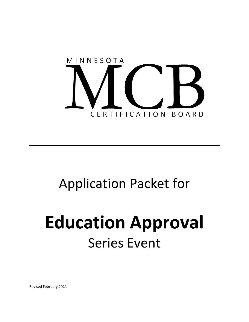

# Application Packet for

# **Education Approval** Series Event

Revised February 2021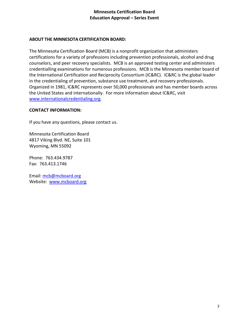### **ABOUT THE MINNESOTA CERTIFICATION BOARD:**

The Minnesota Certification Board (MCB) is a nonprofit organization that administers certifications for a variety of professions including prevention professionals, alcohol and drug counselors, and peer recovery specialists. MCB is an approved testing center and administers credentialling examinations for numerous professions. MCB is the Minnesota member board of the International Certification and Reciprocity Consortium (IC&RC). IC&RC is the global leader in the credentialing of prevention, substance use treatment, and recovery professionals. Organized in 1981, IC&RC represents over 50,000 professionals and has member boards across the United States and internationally. For more information about IC&RC, visit [www.internationalcredentialing.org.](http://www.internationalcredentialing.org/)

#### **CONTACT INFORMATION:**

If you have any questions, please contact us.

Minnesota Certification Board 4817 Viking Blvd. NE, Suite 101 Wyoming, MN 55092

Phone: 763.434.9787 Fax: 763.413.1746

Email: [mcb@mcboard.org](mailto:mcb@mcboard.org)  Website:[www.mcboard.org](http://www.mcboard.org/)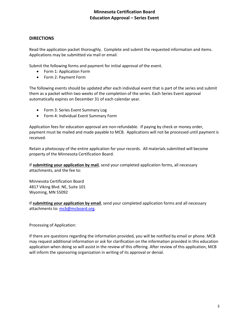#### **DIRECTIONS**

Read the application packet thoroughly. Complete and submit the requested information and items. Applications may be submitted via mail or email.

Submit the following forms and payment for initial approval of the event.

- Form 1: Application Form
- Form 2: Payment Form

The following events should be updated after each individual event that is part of the series and submit them as a packet within two weeks of the completion of the series. Each Series Event approval automatically expires on December 31 of each calendar year.

- Form 3: Series Event Summary Log
- Form 4: Individual Event Summary Form

Application fees for education approval are non-refundable. If paying by check or money order, payment must be mailed and made payable to MCB. Applications will not be processed until payment is received.

Retain a photocopy of the entire application for your records. All materials submitted will become property of the Minnesota Certification Board.

If **submitting your application by mail**, send your completed application forms, all necessary attachments, and the fee to:

Minnesota Certification Board 4817 Viking Blvd. NE, Suite 101 Wyoming, MN 55092

If **submitting your application by email**, send your completed application forms and all necessary attachments to: [mcb@mcboard.org.](mailto:mcb@mcboard.org)

Processing of Application:

If there are questions regarding the information provided, you will be notified by email or phone. MCB may request additional information or ask for clarification on the information provided in this education application when doing so will assist in the review of this offering. After review of this application, MCB will inform the sponsoring organization in writing of its approval or denial.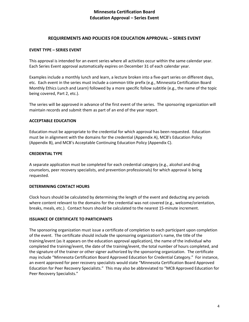#### **REQUIREMENTS AND POLICIES FOR EDUCATION APPROVAL – SERIES EVENT**

#### **EVENT TYPE – SERIES EVENT**

This approval is intended for an event series where all activities occur within the same calendar year. Each Series Event approval automatically expires on December 31 of each calendar year.

Examples include a monthly lunch and learn, a lecture broken into a five-part series on different days, etc. Each event in the series must include a common title prefix (e.g., Minnesota Certification Board Monthly Ethics Lunch and Learn) followed by a more specific follow subtitle (e.g., the name of the topic being covered, Part 2, etc.).

The series will be approved in advance of the first event of the series. The sponsoring organization will maintain records and submit them as part of an end of the year report.

#### **ACCEPTABLE EDUCATION**

Education must be appropriate to the credential for which approval has been requested. Education must be in alignment with the domains for the credential (Appendix A), MCB's Education Policy (Appendix B), and MCB's Acceptable Continuing Education Policy (Appendix C).

#### **CREDENTIAL TYPE**

A separate application must be completed for each credential category (e.g., alcohol and drug counselors, peer recovery specialists, and prevention professionals) for which approval is being requested.

#### **DETERMINING CONTACT HOURS**

Clock hours should be calculated by determining the length of the event and deducting any periods where content relevant to the domains for the credential was not covered (e.g., welcome/orientation, breaks, meals, etc.). Contact hours should be calculated to the nearest 15-minute increment.

#### **ISSUANCE OF CERTIFICATE TO PARTICIPANTS**

The sponsoring organization must issue a certificate of completion to each participant upon completion of the event. The certificate should include the sponsoring organization's name, the title of the training/event (as it appears on the education approval application), the name of the individual who completed the training/event, the date of the training/event, the total number of hours completed, and the signature of the trainer or other signer authorized by the sponsoring organization. The certificate may include "Minnesota Certification Board Approved Education for Credential Category." For instance, an event approved for peer recovery specialists would state "Minnesota Certification Board Approved Education for Peer Recovery Specialists." This may also be abbreviated to "MCB Approved Education for Peer Recovery Specialists."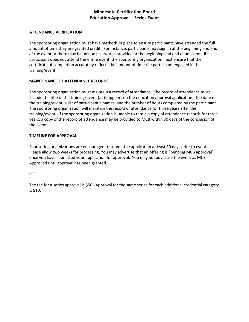#### **ATTENDANCE VERIFICATION**

The sponsoring organization must have methods in place to ensure participants have attended the full amount of time they are granted credit. For instance, participants may sign in at the beginning and end of the event or there may be unique passwords provided at the beginning and end of an event. If a participant does not attend the entire event, the sponsoring organization must ensure that the certificate of completion accurately reflects the amount of time the participant engaged in the training/event.

#### **MAINTENANCE OF ATTENDANCE RECORDS**

The sponsoring organization must maintain a record of attendance. The record of attendance must include the title of the training/event (as it appears on the education approval application), the date of the training/event, a list of participant's names, and the number of hours completed by the participant. The sponsoring organization will maintain the record of attendance for three years after the training/event. If the sponsoring organization is unable to retain a copy of attendance records for three years, a copy of the record of attendance may be provided to MCB within 30 days of the conclusion of the event.

#### **TIMELINE FOR APPROVAL**

Sponsoring organizations are encouraged to submit the application at least 30 days prior to event. Please allow two weeks for processing. You may advertise that an offering is "pending MCB approval" once you have submitted your application for approval. You may not advertise the event as MCB Approved until approval has been granted.

#### **FEE**

The fee for a series approval is \$50. Approval for the same series for each additional credential category is \$10.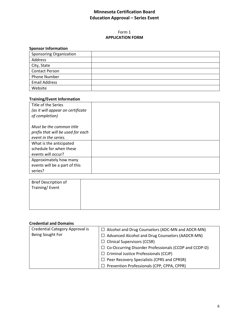#### Form 1 **APPLICATION FORM**

## **Sponsor Information**

| <b>Sponsoring Organization</b> |  |
|--------------------------------|--|
| Address                        |  |
| City, State                    |  |
| <b>Contact Person</b>          |  |
| Phone Number                   |  |
| <b>Email Address</b>           |  |
| Website                        |  |

# **Training/Event Information**

| Title of the Series               |  |
|-----------------------------------|--|
| (as it will appear on certificate |  |
| of completion)                    |  |
|                                   |  |
| Must be the common title          |  |
| prefix that will be used for each |  |
| event in the series.              |  |
| What is the anticipated           |  |
| schedule for when these           |  |
| events will occur?                |  |
| Approximately how many            |  |
| events will be a part of this     |  |
| series?                           |  |

| <b>Brief Description of</b><br>Training/ Event |  |
|------------------------------------------------|--|
|                                                |  |
|                                                |  |

#### **Credential and Domains**

| Credential Category Approval is<br>Being Sought For | $\Box$ Alcohol and Drug Counselors (ADC-MN and ADCR-MN)<br>Advanced Alcohol and Drug Counselors (AADCR-MN)<br>$\overline{1}$<br>$\Box$ Clinical Supervisors (CCSR)<br>$\Box$ Co-Occurring Disorder Professionals (CCDP and CCDP-D) |
|-----------------------------------------------------|------------------------------------------------------------------------------------------------------------------------------------------------------------------------------------------------------------------------------------|
|                                                     | $\Box$ Criminal Justice Professionals (CCJP)<br>Peer Recovery Specialists (CPRS and CPRSR)                                                                                                                                         |
|                                                     | Prevention Professionals (CPP, CPPA, CPPR)                                                                                                                                                                                         |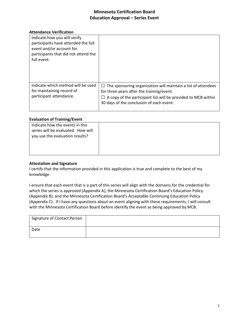#### **Attendance Verification**

| Indicate how you will verify<br>participants have attended the full<br>event and/or account for<br>participants that did not attend the<br>full event. |                                                                                                                                                                                                                                   |
|--------------------------------------------------------------------------------------------------------------------------------------------------------|-----------------------------------------------------------------------------------------------------------------------------------------------------------------------------------------------------------------------------------|
| Indicate which method will be used<br>for maintaining record of<br>participant attendance.                                                             | The sponsoring organization will maintain a list of attendees<br>$\Box$<br>for three years after the training/event.<br>A copy of the participant list will be provided to MCB within<br>30 days of the conclusion of each event. |

#### **Evaluation of Training/Event**

| . .                                |  |
|------------------------------------|--|
| Indicate how the events in this    |  |
| series will be evaluated. How will |  |
| you use the evaluation results?    |  |
|                                    |  |
|                                    |  |
|                                    |  |

#### **Attestation and Signature**

I certify that the information provided in this application is true and complete to the best of my knowledge.

I ensure that each event that is a part of this series will align with the domains for the credential for which the series is approved (Appendix A), the Minnesota Certification Board's Education Policy (Appendix B), and the Minnesota Certification Board's Acceptable Continuing Education Policy (Appendix C). If I have any questions about an event aligning with these requirements, I will consult with the Minnesota Certification Board before identify the event as being approved by MCB.

| Signature of Contact Person |  |
|-----------------------------|--|
| Date                        |  |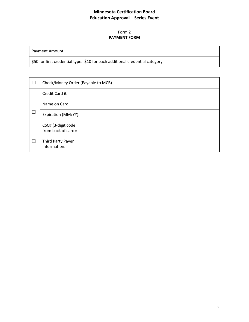#### Form 2 **PAYMENT FORM**

| <b>Payment Amount:</b> |                                                                               |
|------------------------|-------------------------------------------------------------------------------|
|                        | \$50 for first credential type. \$10 for each additional credential category. |

|  | Check/Money Order (Payable to MCB)        |  |
|--|-------------------------------------------|--|
|  | Credit Card #:                            |  |
|  | Name on Card:                             |  |
|  | Expiration (MM/YY):                       |  |
|  | CSC# (3-digit code<br>from back of card): |  |
|  | Third Party Payer<br>Information:         |  |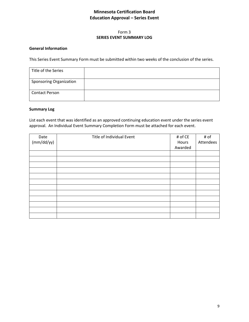#### Form 3 **SERIES EVENT SUMMARY LOG**

#### **General Information**

This Series Event Summary Form must be submitted within two weeks of the conclusion of the series.

| Title of the Series            |  |
|--------------------------------|--|
| <b>Sponsoring Organization</b> |  |
| <b>Contact Person</b>          |  |

#### **Summary Log**

List each event that was identified as an approved continuing education event under the series event approval. An Individual Event Summary Completion Form must be attached for each event.

| Date       | Title of Individual Event | # of CE | # of      |
|------------|---------------------------|---------|-----------|
| (mm/dd/yy) |                           | Hours   | Attendees |
|            |                           | Awarded |           |
|            |                           |         |           |
|            |                           |         |           |
|            |                           |         |           |
|            |                           |         |           |
|            |                           |         |           |
|            |                           |         |           |
|            |                           |         |           |
|            |                           |         |           |
|            |                           |         |           |
|            |                           |         |           |
|            |                           |         |           |
|            |                           |         |           |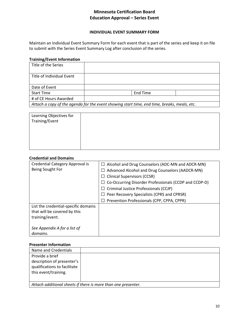#### **INDIVIDUAL EVENT SUMMARY FORM**

Maintain an Individual Event Summary Form for each event that is part of the series and keep it on file to submit with the Series Event Summary Log after conclusion of the series.

#### **Training/Event Information**

| Title of the Series                                                                         |          |  |
|---------------------------------------------------------------------------------------------|----------|--|
| Title of Individual Event                                                                   |          |  |
| Date of Event                                                                               |          |  |
| <b>Start Time</b>                                                                           | End Time |  |
| # of CE Hours Awarded                                                                       |          |  |
| Attach a copy of the agenda for the event showing start time, end time, breaks, meals, etc. |          |  |

| Learning Objectives for |  |
|-------------------------|--|
| Training/Event          |  |
|                         |  |
|                         |  |
|                         |  |
|                         |  |
|                         |  |

#### **Credential and Domains**

| <b>Credential Category Approval is</b> | Alcohol and Drug Counselors (ADC-MN and ADCR-MN)<br>⊔ |
|----------------------------------------|-------------------------------------------------------|
| Being Sought For                       | Advanced Alcohol and Drug Counselors (AADCR-MN)       |
|                                        | <b>Clinical Supervisors (CCSR)</b>                    |
|                                        | Co-Occurring Disorder Professionals (CCDP and CCDP-D) |
|                                        | Criminal Justice Professionals (CCJP)<br>⊔            |
|                                        | Peer Recovery Specialists (CPRS and CPRSR)            |
|                                        | Prevention Professionals (CPP, CPPA, CPPR)<br>$\Box$  |
| List the credential-specific domains   |                                                       |
| that will be covered by this           |                                                       |
| training/event.                        |                                                       |
|                                        |                                                       |
| See Appendix A for a list of           |                                                       |
| domains.                               |                                                       |

#### **Presenter Information**

| Name and Credentials                                          |  |
|---------------------------------------------------------------|--|
| Provide a brief<br>description of presenter's                 |  |
| qualifications to facilitate                                  |  |
| this event/training.                                          |  |
|                                                               |  |
| Attach additional sheets if there is more than one presenter. |  |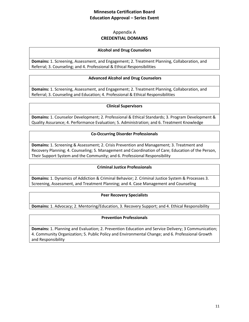# Appendix A **CREDENTIAL DOMAINS**

#### **Alcohol and Drug Counselors**

**Domains:** 1. Screening, Assessment, and Engagement; 2. Treatment Planning, Collaboration, and Referral; 3. Counseling; and 4. Professional & Ethical Responsibilities

#### **Advanced Alcohol and Drug Counselors**

**Domains:** 1. Screening, Assessment, and Engagement; 2. Treatment Planning, Collaboration, and Referral; 3. Counseling and Education; 4. Professional & Ethical Responsibilities

#### **Clinical Supervisors**

**Domains:** 1. Counselor Development; 2. Professional & Ethical Standards; 3. Program Development & Quality Assurance; 4. Performance Evaluation; 5. Administration; and 6. Treatment Knowledge

#### **Co-Occurring Disorder Professionals**

**Domains:** 1. Screening & Assessment; 2. Crisis Prevention and Management; 3. Treatment and Recovery Planning; 4. Counseling; 5. Management and Coordination of Care; Education of the Person, Their Support System and the Community; and 6. Professional Responsibility

#### **Criminal Justice Professionals**

**Domains:** 1. Dynamics of Addiction & Criminal Behavior; 2. Criminal Justice System & Processes 3. Screening, Assessment, and Treatment Planning; and 4. Case Management and Counseling

#### **Peer Recovery Specialists**

**Domains:** 1. Advocacy; 2. Mentoring/Education, 3. Recovery Support; and 4. Ethical Responsibility

#### **Prevention Professionals**

**Domains:** 1. Planning and Evaluation; 2. Prevention Education and Service Delivery; 3 Communication; 4. Community Organization; 5. Public Policy and Environmental Change; and 6. Professional Growth and Responsibility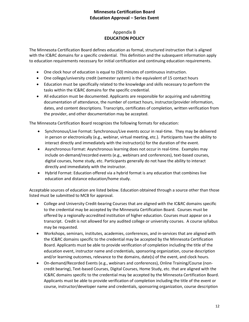# Appendix B **EDUCATION POLICY**

The Minnesota Certification Board defines education as formal, structured instruction that is aligned with the IC&RC domains for a specific credential. This definition and the subsequent information apply to education requirements necessary for initial certification and continuing education requirements.

- One clock hour of education is equal to (50) minutes of continuous instruction.
- One college/university credit (semester system) is the equivalent of 15 contact hours
- Education must be specifically related to the knowledge and skills necessary to perform the tasks within the IC&RC domains for the specific credential.
- All education must be documented. Applicants are responsible for acquiring and submitting documentation of attendance, the number of contact hours, instructor/provider information, dates, and content descriptions. Transcripts, certificates of completion, written verification from the provider, and other documentation may be accepted.

The Minnesota Certification Board recognizes the following formats for education:

- Synchronous/Live Format: Synchronous/Live events occur in real-time. They may be delivered in person or electronically (e.g., webinar, virtual meeting, etc.). Participants have the ability to interact directly and immediately with the instructor(s) for the duration of the event.
- Asynchronous Format: Asynchronous learning does not occur in real-time. Examples may include on-demand/recorded events (e.g., webinars and conferences), text-based courses, digital courses, home study, etc. Participants generally do not have the ability to interact directly and immediately with the instructor.
- Hybrid Format: Education offered via a hybrid format is any education that combines live education and distance education/home study.

Acceptable sources of education are listed below. Education obtained through a source other than those listed must be submitted to MCB for approval.

- College and University Credit-bearing Courses that are aligned with the IC&RC domains specific to the credential may be accepted by the Minnesota Certification Board. Courses must be offered by a regionally-accredited institution of higher education. Courses must appear on a transcript. Credit is not allowed for any audited college or university courses. A course syllabus may be requested.
- Workshops, seminars, institutes, academies, conferences, and in-services that are aligned with the IC&RC domains specific to the credential may be accepted by the Minnesota Certification Board. Applicants must be able to provide verification of completion including the title of the education event, instructor name and credentials, sponsoring organization, course description and/or learning outcomes, relevance to the domains, date(s) of the event, and clock hours.
- On-demand/Recorded Events (e.g., webinars and conferences), Online Training/Course (noncredit bearing), Text-based Courses, Digital Courses, Home Study, etc. that are aligned with the IC&RC domains specific to the credential may be accepted by the Minnesota Certification Board. Applicants must be able to provide verification of completion including the title of the event or course, instructor/developer name and credentials, sponsoring organization, course description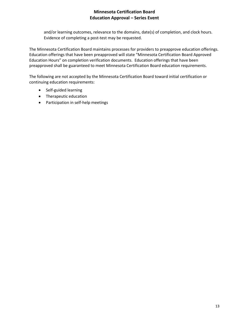and/or learning outcomes, relevance to the domains, date(s) of completion, and clock hours. Evidence of completing a post-test may be requested.

The Minnesota Certification Board maintains processes for providers to preapprove education offerings. Education offerings that have been preapproved will state "Minnesota Certification Board Approved Education Hours" on completion verification documents. Education offerings that have been preapproved shall be guaranteed to meet Minnesota Certification Board education requirements.

The following are not accepted by the Minnesota Certification Board toward initial certification or continuing education requirements:

- Self-guided learning
- Therapeutic education
- Participation in self-help meetings